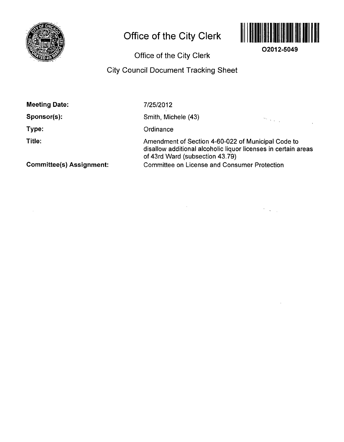

 $\bar{z}$ 

# **Office of the City Clerk**



**02012-5049** 

 $\frac{1}{2} \left( \frac{1}{2} \right)$ 

**Office of the City Clerk** 

# **City Council Document Tracking Sheet**

| <b>Meeting Date:</b>            | 7/25/2012                                                                                                                                               |
|---------------------------------|---------------------------------------------------------------------------------------------------------------------------------------------------------|
| Sponsor(s):                     | Smith, Michele (43)<br>$\mathcal{O}(\mathcal{O}(\log n))$                                                                                               |
| Type:                           | Ordinance                                                                                                                                               |
| Title:                          | Amendment of Section 4-60-022 of Municipal Code to<br>disallow additional alcoholic liquor licenses in certain areas<br>of 43rd Ward (subsection 43.79) |
| <b>Committee(s) Assignment:</b> | <b>Committee on License and Consumer Protection</b>                                                                                                     |

 $\mathcal{A}^{\pm}$